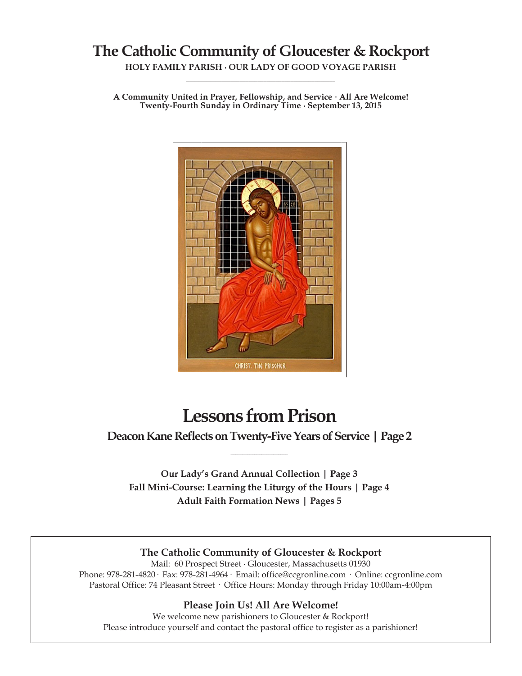# **The Catholic Community of Gloucester & Rockport**

**HOLY FAMILY PARISH ∙ OUR LADY OF GOOD VOYAGE PARISH \_\_\_\_\_\_\_\_\_\_\_\_\_\_\_\_\_\_\_\_\_\_\_\_\_\_\_\_\_\_\_\_\_\_\_\_\_\_\_\_\_\_\_\_\_\_\_\_\_\_**

**A Community United in Prayer, Fellowship, and Service ∙ All Are Welcome! Twenty-Fourth Sunday in Ordinary Time ∙ September 13, 2015**



# **Lessons from Prison**

**Deacon Kane Reflects on Twenty-Five Years of Service | Page 2 \_\_\_\_\_\_\_\_\_\_\_\_\_\_\_\_\_\_\_\_\_\_\_\_**

**Our Lady's Grand Annual Collection | Page 3 Fall Mini-Course: Learning the Liturgy of the Hours | Page 4 Adult Faith Formation News | Pages 5**

#### **The Catholic Community of Gloucester & Rockport**

Mail: 60 Prospect Street ∙ Gloucester, Massachusetts 01930 Phone: 978-281-4820· Fax: 978-281-4964· Email: office@ccgronline.com · Online: ccgronline.com Pastoral Office: 74 Pleasant Street · Office Hours: Monday through Friday 10:00am-4:00pm

#### **Please Join Us! All Are Welcome!**

We welcome new parishioners to Gloucester & Rockport! Please introduce yourself and contact the pastoral office to register as a parishioner!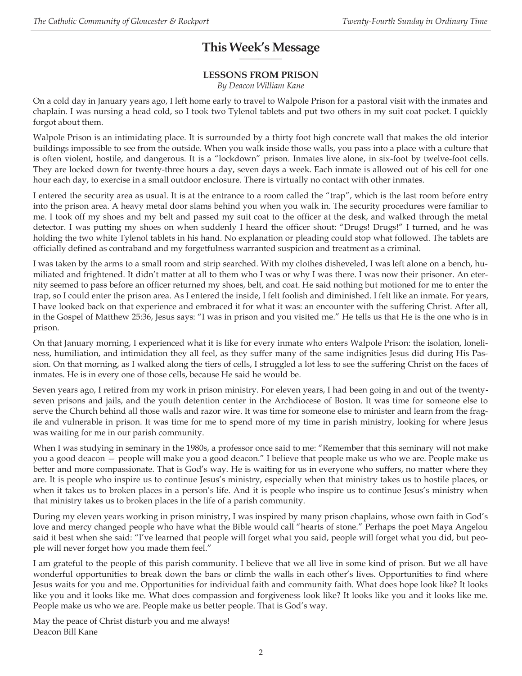#### **This Week's Message \_\_\_\_\_\_\_\_\_\_\_\_\_\_\_\_\_\_\_\_**

# **LESSONS FROM PRISON**

*By Deacon William Kane*

On a cold day in January years ago, I left home early to travel to Walpole Prison for a pastoral visit with the inmates and chaplain. I was nursing a head cold, so I took two Tylenol tablets and put two others in my suit coat pocket. I quickly forgot about them.

Walpole Prison is an intimidating place. It is surrounded by a thirty foot high concrete wall that makes the old interior buildings impossible to see from the outside. When you walk inside those walls, you pass into a place with a culture that is often violent, hostile, and dangerous. It is a "lockdown" prison. Inmates live alone, in six-foot by twelve-foot cells. They are locked down for twenty-three hours a day, seven days a week. Each inmate is allowed out of his cell for one hour each day, to exercise in a small outdoor enclosure. There is virtually no contact with other inmates.

I entered the security area as usual. It is at the entrance to a room called the "trap", which is the last room before entry into the prison area. A heavy metal door slams behind you when you walk in. The security procedures were familiar to me. I took off my shoes and my belt and passed my suit coat to the officer at the desk, and walked through the metal detector. I was putting my shoes on when suddenly I heard the officer shout: "Drugs! Drugs!" I turned, and he was holding the two white Tylenol tablets in his hand. No explanation or pleading could stop what followed. The tablets are officially defined as contraband and my forgetfulness warranted suspicion and treatment as a criminal.

I was taken by the arms to a small room and strip searched. With my clothes disheveled, I was left alone on a bench, humiliated and frightened. It didn't matter at all to them who I was or why I was there. I was now their prisoner. An eternity seemed to pass before an officer returned my shoes, belt, and coat. He said nothing but motioned for me to enter the trap, so I could enter the prison area. As I entered the inside, I felt foolish and diminished. I felt like an inmate. For years, I have looked back on that experience and embraced it for what it was: an encounter with the suffering Christ. After all, in the Gospel of Matthew 25:36, Jesus says: "I was in prison and you visited me." He tells us that He is the one who is in prison.

On that January morning, I experienced what it is like for every inmate who enters Walpole Prison: the isolation, loneliness, humiliation, and intimidation they all feel, as they suffer many of the same indignities Jesus did during His Passion. On that morning, as I walked along the tiers of cells, I struggled a lot less to see the suffering Christ on the faces of inmates. He is in every one of those cells, because He said he would be.

Seven years ago, I retired from my work in prison ministry. For eleven years, I had been going in and out of the twentyseven prisons and jails, and the youth detention center in the Archdiocese of Boston. It was time for someone else to serve the Church behind all those walls and razor wire. It was time for someone else to minister and learn from the fragile and vulnerable in prison. It was time for me to spend more of my time in parish ministry, looking for where Jesus was waiting for me in our parish community.

When I was studying in seminary in the 1980s, a professor once said to me: "Remember that this seminary will not make you a good deacon — people will make you a good deacon." I believe that people make us who we are. People make us better and more compassionate. That is God's way. He is waiting for us in everyone who suffers, no matter where they are. It is people who inspire us to continue Jesus's ministry, especially when that ministry takes us to hostile places, or when it takes us to broken places in a person's life. And it is people who inspire us to continue Jesus's ministry when that ministry takes us to broken places in the life of a parish community.

During my eleven years working in prison ministry, I was inspired by many prison chaplains, whose own faith in God's love and mercy changed people who have what the Bible would call "hearts of stone." Perhaps the poet Maya Angelou said it best when she said: "I've learned that people will forget what you said, people will forget what you did, but people will never forget how you made them feel."

I am grateful to the people of this parish community. I believe that we all live in some kind of prison. But we all have wonderful opportunities to break down the bars or climb the walls in each other's lives. Opportunities to find where Jesus waits for you and me. Opportunities for individual faith and community faith. What does hope look like? It looks like you and it looks like me. What does compassion and forgiveness look like? It looks like you and it looks like me. People make us who we are. People make us better people. That is God's way.

May the peace of Christ disturb you and me always! Deacon Bill Kane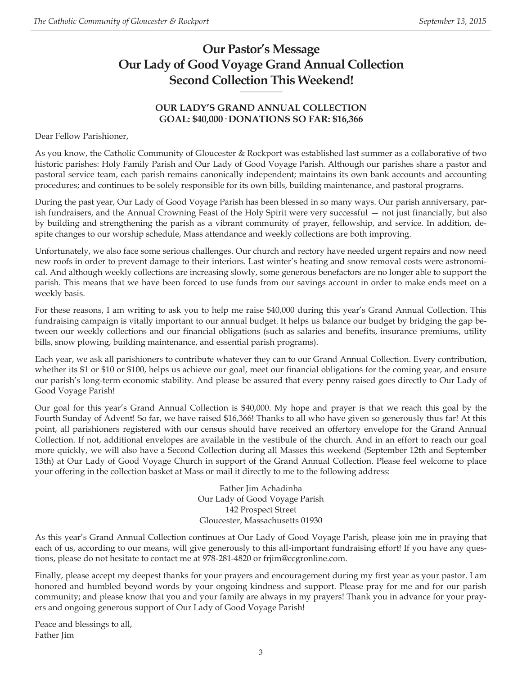# **Our Pastor's Message Our Lady of Good Voyage Grand Annual Collection Second Collection This Weekend!**

# **OUR LADY'S GRAND ANNUAL COLLECTION GOAL: \$40,000· DONATIONS SO FAR: \$16,366**

**\_\_\_\_\_\_\_\_\_\_\_\_\_\_\_\_\_\_\_\_**

Dear Fellow Parishioner,

As you know, the Catholic Community of Gloucester & Rockport was established last summer as a collaborative of two historic parishes: Holy Family Parish and Our Lady of Good Voyage Parish. Although our parishes share a pastor and pastoral service team, each parish remains canonically independent; maintains its own bank accounts and accounting procedures; and continues to be solely responsible for its own bills, building maintenance, and pastoral programs.

During the past year, Our Lady of Good Voyage Parish has been blessed in so many ways. Our parish anniversary, parish fundraisers, and the Annual Crowning Feast of the Holy Spirit were very successful — not just financially, but also by building and strengthening the parish as a vibrant community of prayer, fellowship, and service. In addition, despite changes to our worship schedule, Mass attendance and weekly collections are both improving.

Unfortunately, we also face some serious challenges. Our church and rectory have needed urgent repairs and now need new roofs in order to prevent damage to their interiors. Last winter's heating and snow removal costs were astronomical. And although weekly collections are increasing slowly, some generous benefactors are no longer able to support the parish. This means that we have been forced to use funds from our savings account in order to make ends meet on a weekly basis.

For these reasons, I am writing to ask you to help me raise \$40,000 during this year's Grand Annual Collection. This fundraising campaign is vitally important to our annual budget. It helps us balance our budget by bridging the gap between our weekly collections and our financial obligations (such as salaries and benefits, insurance premiums, utility bills, snow plowing, building maintenance, and essential parish programs).

Each year, we ask all parishioners to contribute whatever they can to our Grand Annual Collection. Every contribution, whether its \$1 or \$10 or \$100, helps us achieve our goal, meet our financial obligations for the coming year, and ensure our parish's long-term economic stability. And please be assured that every penny raised goes directly to Our Lady of Good Voyage Parish!

Our goal for this year's Grand Annual Collection is \$40,000. My hope and prayer is that we reach this goal by the Fourth Sunday of Advent! So far, we have raised \$16,366! Thanks to all who have given so generously thus far! At this point, all parishioners registered with our census should have received an offertory envelope for the Grand Annual Collection. If not, additional envelopes are available in the vestibule of the church. And in an effort to reach our goal more quickly, we will also have a Second Collection during all Masses this weekend (September 12th and September 13th) at Our Lady of Good Voyage Church in support of the Grand Annual Collection. Please feel welcome to place your offering in the collection basket at Mass or mail it directly to me to the following address:

> Father Jim Achadinha Our Lady of Good Voyage Parish 142 Prospect Street Gloucester, Massachusetts 01930

As this year's Grand Annual Collection continues at Our Lady of Good Voyage Parish, please join me in praying that each of us, according to our means, will give generously to this all-important fundraising effort! If you have any questions, please do not hesitate to contact me at 978-281-4820 or frjim@ccgronline.com.

Finally, please accept my deepest thanks for your prayers and encouragement during my first year as your pastor. I am honored and humbled beyond words by your ongoing kindness and support. Please pray for me and for our parish community; and please know that you and your family are always in my prayers! Thank you in advance for your prayers and ongoing generous support of Our Lady of Good Voyage Parish!

Peace and blessings to all, Father Jim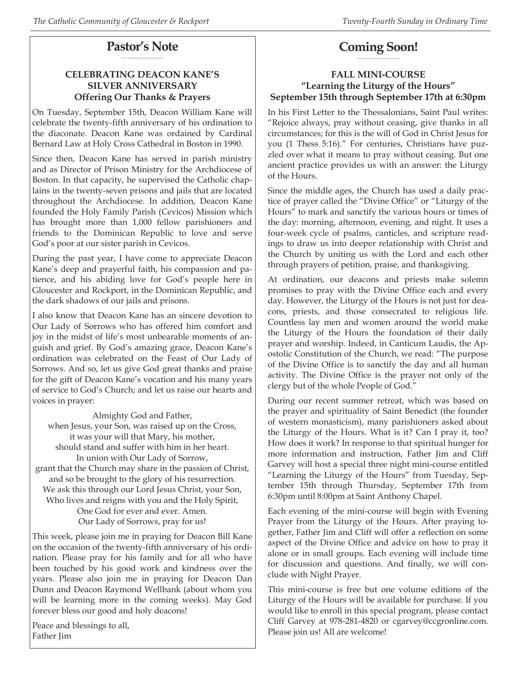#### **Pastor's Note \_\_\_\_\_\_\_\_\_\_\_\_\_\_\_\_\_\_\_\_**

# **CELEBRATING DEACON KANE'S SILVER ANNIVERSARY Offering Our Thanks & Prayers**

On Tuesday, September 15th, Deacon William Kane will celebrate the twenty-fifth anniversary of his ordination to the diaconate. Deacon Kane was ordained by Cardinal Bernard Law at Holy Cross Cathedral in Boston in 1990.

Since then, Deacon Kane has served in parish ministry and as Director of Prison Ministry for the Archdiocese of Boston. In that capacity, he supervised the Catholic chaplains in the twenty-seven prisons and jails that are located throughout the Archdiocese. In addition, Deacon Kane founded the Holy Family Parish (Cevicos) Mission which has brought more than 1,000 fellow parishioners and friends to the Dominican Republic to love and serve God's poor at our sister parish in Cevicos.

During the past year, I have come to appreciate Deacon Kane's deep and prayerful faith, his compassion and patience, and his abiding love for God's people here in Gloucester and Rockport, in the Dominican Republic, and the dark shadows of our jails and prisons.

I also know that Deacon Kane has an sincere devotion to Our Lady of Sorrows who has offered him comfort and joy in the midst of life's most unbearable moments of anguish and grief. By God's amazing grace, Deacon Kane's ordination was celebrated on the Feast of Our Lady of Sorrows. And so, let us give God great thanks and praise for the gift of Deacon Kane's vocation and his many years of service to God's Church; and let us raise our hearts and voices in prayer:

Almighty God and Father, when Jesus, your Son, was raised up on the Cross, it was your will that Mary, his mother, should stand and suffer with him in her heart. In union with Our Lady of Sorrow, grant that the Church may share in the passion of Christ, and so be brought to the glory of his resurrection. We ask this through our Lord Jesus Christ, your Son, Who lives and reigns with you and the Holy Spirit, One God for ever and ever. Amen. Our Lady of Sorrows, pray for us!

This week, please join me in praying for Deacon Bill Kane on the occasion of the twenty-fifth anniversary of his ordination. Please pray for his family and for all who have been touched by his good work and kindness over the years. Please also join me in praying for Deacon Dan Dunn and Deacon Raymond Wellbank (about whom you will be learning more in the coming weeks). May God forever bless our good and holy deacons!

Peace and blessings to all, Father Jim

#### **Coming Soon! \_\_\_\_\_\_\_\_\_\_\_\_\_\_\_\_\_\_\_\_**

#### **FALL MINI-COURSE "Learning the Liturgy of the Hours" September 15th through September 17th at 6:30pm**

In his First Letter to the Thessalonians, Saint Paul writes: "Rejoice always, pray without ceasing, give thanks in all circumstances; for this is the will of God in Christ Jesus for you (1 Thess 5:16)." For centuries, Christians have puzzled over what it means to pray without ceasing. But one ancient practice provides us with an answer: the Liturgy of the Hours.

Since the middle ages, the Church has used a daily practice of prayer called the "Divine Office" or "Liturgy of the Hours" to mark and sanctify the various hours or times of the day: morning, afternoon, evening, and night. It uses a four-week cycle of psalms, canticles, and scripture readings to draw us into deeper relationship with Christ and the Church by uniting us with the Lord and each other through prayers of petition, praise, and thanksgiving.

At ordination, our deacons and priests make solemn promises to pray with the Divine Office each and every day. However, the Liturgy of the Hours is not just for deacons, priests, and those consecrated to religious life. Countless lay men and women around the world make the Liturgy of the Hours the foundation of their daily prayer and worship. Indeed, in Canticum Laudis, the Apostolic Constitution of the Church, we read: "The purpose of the Divine Office is to sanctify the day and all human activity. The Divine Office is the prayer not only of the clergy but of the whole People of God."

During our recent summer retreat, which was based on the prayer and spirituality of Saint Benedict (the founder of western monasticism), many parishioners asked about the Liturgy of the Hours. What is it? Can I pray it, too? How does it work? In response to that spiritual hunger for more information and instruction, Father Jim and Cliff Garvey will host a special three night mini-course entitled "Learning the Liturgy of the Hours" from Tuesday, September 15th through Thursday, September 17th from 6:30pm until 8:00pm at Saint Anthony Chapel.

Each evening of the mini-course will begin with Evening Prayer from the Liturgy of the Hours. After praying together, Father Jim and Cliff will offer a reflection on some aspect of the Divine Office and advice on how to pray it alone or in small groups. Each evening will include time for discussion and questions. And finally, we will conclude with Night Prayer.

This mini-course is free but one volume editions of the Liturgy of the Hours will be available for purchase. If you would like to enroll in this special program, please contact Cliff Garvey at 978-281-4820 or cgarvey@ccgronline.com. Please join us! All are welcome!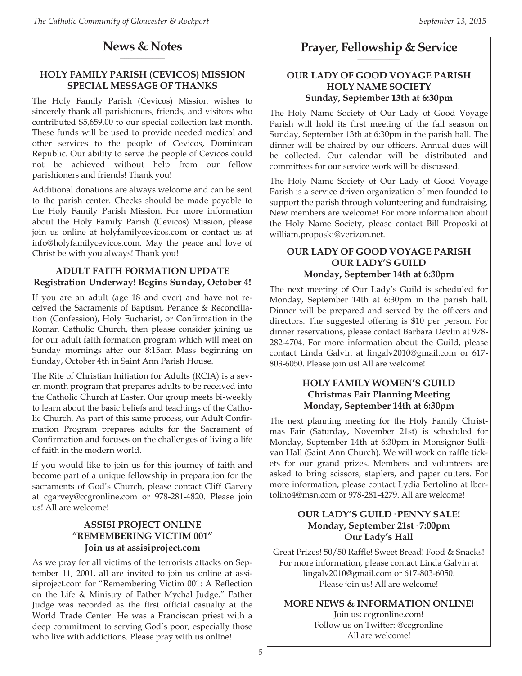#### **News & Notes \_\_\_\_\_\_\_\_\_\_\_\_\_\_\_\_\_\_\_\_\_**

#### **HOLY FAMILY PARISH (CEVICOS) MISSION SPECIAL MESSAGE OF THANKS**

The Holy Family Parish (Cevicos) Mission wishes to sincerely thank all parishioners, friends, and visitors who contributed \$5,659.00 to our special collection last month. These funds will be used to provide needed medical and other services to the people of Cevicos, Dominican Republic. Our ability to serve the people of Cevicos could not be achieved without help from our fellow parishioners and friends! Thank you!

Additional donations are always welcome and can be sent to the parish center. Checks should be made payable to the Holy Family Parish Mission. For more information about the Holy Family Parish (Cevicos) Mission, please join us online at holyfamilycevicos.com or contact us at info@holyfamilycevicos.com. May the peace and love of Christ be with you always! Thank you!

#### **ADULT FAITH FORMATION UPDATE Registration Underway! Begins Sunday, October 4!**

If you are an adult (age 18 and over) and have not received the Sacraments of Baptism, Penance & Reconciliation (Confession), Holy Eucharist, or Confirmation in the Roman Catholic Church, then please consider joining us for our adult faith formation program which will meet on Sunday mornings after our 8:15am Mass beginning on Sunday, October 4th in Saint Ann Parish House.

The Rite of Christian Initiation for Adults (RCIA) is a seven month program that prepares adults to be received into the Catholic Church at Easter. Our group meets bi-weekly to learn about the basic beliefs and teachings of the Catholic Church. As part of this same process, our Adult Confirmation Program prepares adults for the Sacrament of Confirmation and focuses on the challenges of living a life of faith in the modern world.

If you would like to join us for this journey of faith and become part of a unique fellowship in preparation for the sacraments of God's Church, please contact Cliff Garvey at cgarvey@ccgronline.com or 978-281-4820. Please join us! All are welcome!

#### **ASSISI PROJECT ONLINE "REMEMBERING VICTIM 001" Join us at assisiproject.com**

As we pray for all victims of the terrorists attacks on September 11, 2001, all are invited to join us online at assisiproject.com for "Remembering Victim 001: A Reflection on the Life & Ministry of Father Mychal Judge." Father Judge was recorded as the first official casualty at the World Trade Center. He was a Franciscan priest with a deep commitment to serving God's poor, especially those who live with addictions. Please pray with us online!

#### **Prayer, Fellowship & Service \_\_\_\_\_\_\_\_\_\_\_\_\_\_\_\_\_\_\_\_**

#### **OUR LADY OF GOOD VOYAGE PARISH HOLY NAME SOCIETY Sunday, September 13th at 6:30pm**

The Holy Name Society of Our Lady of Good Voyage Parish will hold its first meeting of the fall season on Sunday, September 13th at 6:30pm in the parish hall. The dinner will be chaired by our officers. Annual dues will be collected. Our calendar will be distributed and committees for our service work will be discussed.

The Holy Name Society of Our Lady of Good Voyage Parish is a service driven organization of men founded to support the parish through volunteering and fundraising. New members are welcome! For more information about the Holy Name Society, please contact Bill Proposki at william.proposki@verizon.net.

#### **OUR LADY OF GOOD VOYAGE PARISH OUR LADY'S GUILD Monday, September 14th at 6:30pm**

The next meeting of Our Lady's Guild is scheduled for Monday, September 14th at 6:30pm in the parish hall. Dinner will be prepared and served by the officers and directors. The suggested offering is \$10 per person. For dinner reservations, please contact Barbara Devlin at 978- 282-4704. For more information about the Guild, please contact Linda Galvin at lingalv2010@gmail.com or 617- 803-6050. Please join us! All are welcome!

#### **HOLY FAMILY WOMEN'S GUILD Christmas Fair Planning Meeting Monday, September 14th at 6:30pm**

The next planning meeting for the Holy Family Christmas Fair (Saturday, November 21st) is scheduled for Monday, September 14th at 6:30pm in Monsignor Sullivan Hall (Saint Ann Church). We will work on raffle tickets for our grand prizes. Members and volunteers are asked to bring scissors, staplers, and paper cutters. For more information, please contact Lydia Bertolino at lbertolino4@msn.com or 978-281-4279. All are welcome!

#### **OUR LADY'S GUILD· PENNY SALE! Monday, September 21st· 7:00pm Our Lady's Hall**

Great Prizes! 50/50 Raffle! Sweet Bread! Food & Snacks! For more information, please contact Linda Galvin at lingalv2010@gmail.com or 617-803-6050. Please join us! All are welcome!

#### **MORE NEWS & INFORMATION ONLINE!**

Join us: ccgronline.com! Follow us on Twitter: @ccgronline All are welcome!